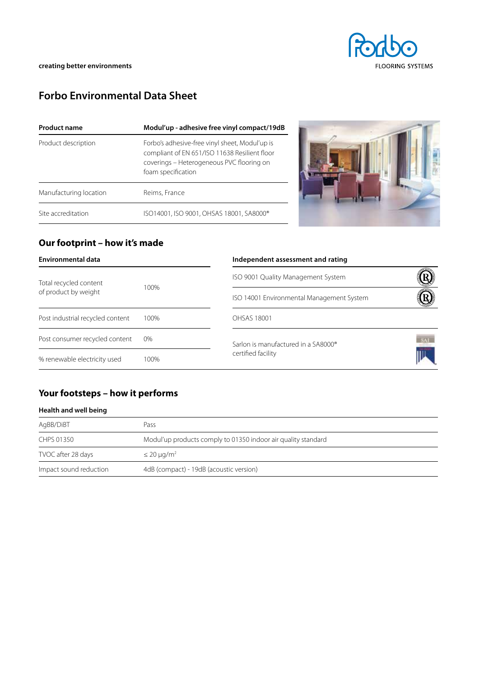

# **Forbo Environmental Data Sheet**

| <b>Product name</b>    | Modul'up - adhesive free vinyl compact/19dB                                                                                                                        |  |
|------------------------|--------------------------------------------------------------------------------------------------------------------------------------------------------------------|--|
| Product description    | Forbo's adhesive-free vinyl sheet, Modul'up is<br>compliant of EN 651/ISO 11638 Resilient floor<br>coverings - Heterogeneous PVC flooring on<br>foam specification |  |
| Manufacturing location | Reims, France                                                                                                                                                      |  |
| Site accreditation     | ISO14001, ISO 9001, OHSAS 18001, SA8000®                                                                                                                           |  |

### **Our footprint – how it's made**

| <b>Environmental data</b>        |      | Independent assessment and rating               |     |  |  |
|----------------------------------|------|-------------------------------------------------|-----|--|--|
| Total recycled content           | 100% | ISO 9001 Quality Management System              |     |  |  |
| of product by weight             |      | ISO 14001 Environmental Management System       |     |  |  |
| Post industrial recycled content | 100% | OHSAS 18001                                     |     |  |  |
| Post consumer recycled content   | 0%   | Sarlon is manufactured in a SA8000 <sup>®</sup> | SAF |  |  |
| % renewable electricity used     | 100% | certified facility                              |     |  |  |

## **Your footsteps – how it performs**

#### **Health and well being**

| AgBB/DiBT              | Pass                                                          |  |  |
|------------------------|---------------------------------------------------------------|--|--|
| CHPS 01350             | Modul'up products comply to 01350 indoor air quality standard |  |  |
| TVOC after 28 days     | $\leq$ 20 µg/m <sup>2</sup>                                   |  |  |
| Impact sound reduction | 4dB (compact) - 19dB (acoustic version)                       |  |  |